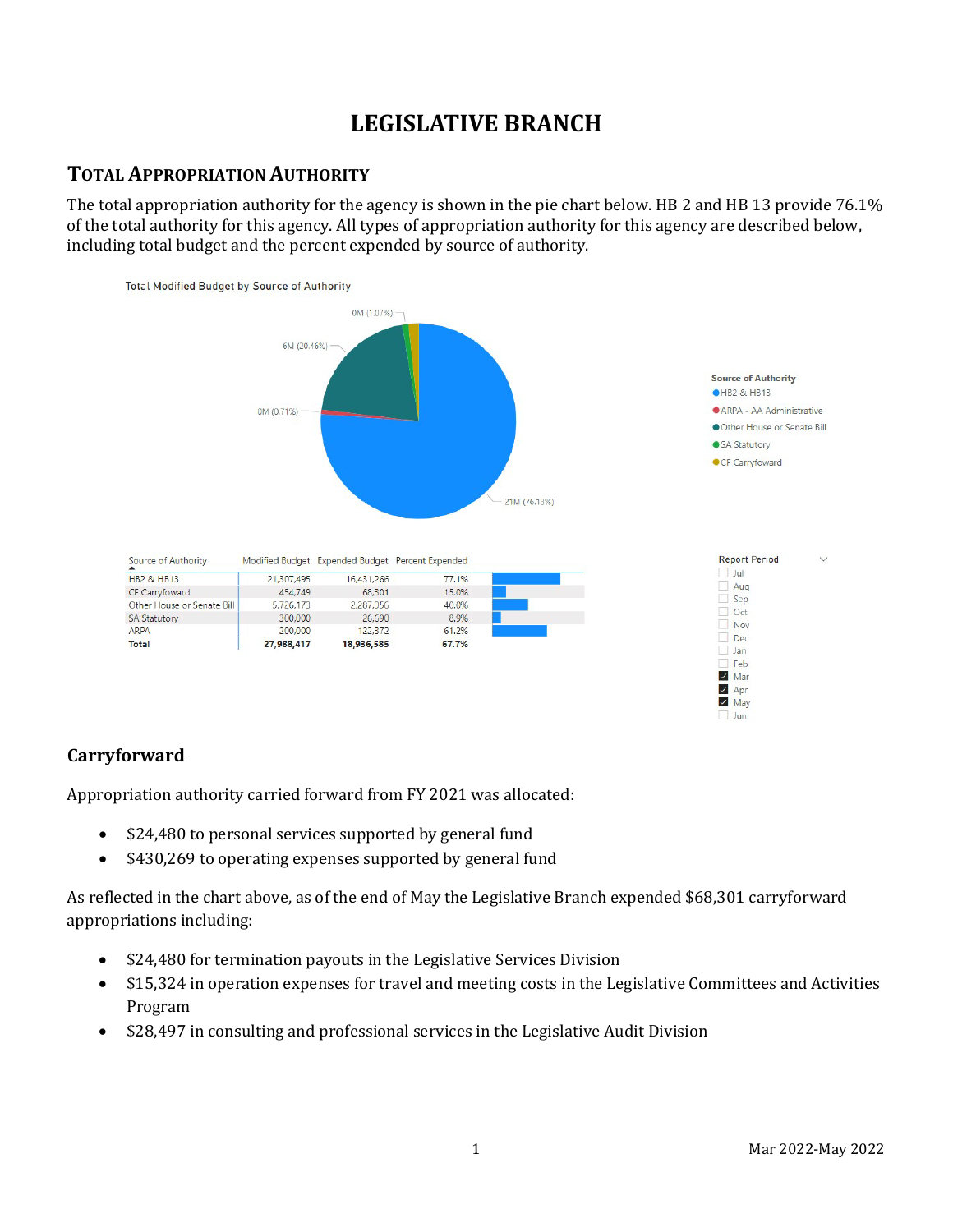# **LEGISLATIVE BRANCH**

# **TOTAL APPROPRIATION AUTHORITY**

The total appropriation authority for the agency is shown in the pie chart below. HB 2 and HB 13 provide 76.1% of the total authority for this agency. All types of appropriation authority for this agency are described below, including total budget and the percent expended by source of authority.



# **Carryforward**

Appropriation authority carried forward from FY 2021 was allocated:

- \$24,480 to personal services supported by general fund
- \$430,269 to operating expenses supported by general fund

As reflected in the chart above, as of the end of May the Legislative Branch expended \$68,301 carryforward appropriations including:

- \$24,480 for termination payouts in the Legislative Services Division
- \$15,324 in operation expenses for travel and meeting costs in the Legislative Committees and Activities Program
- \$28,497 in consulting and professional services in the Legislative Audit Division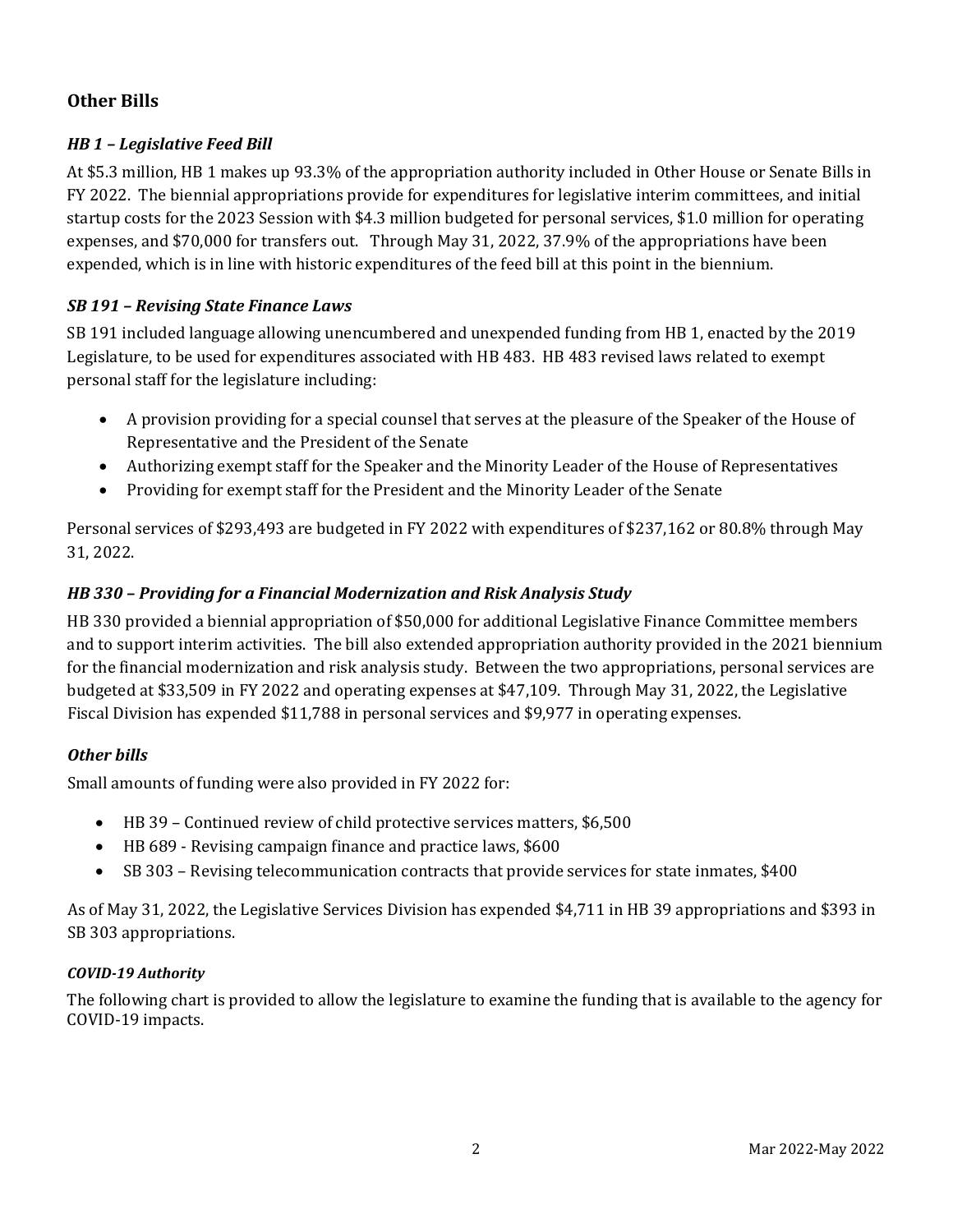# **Other Bills**

### *HB 1 – Legislative Feed Bill*

At \$5.3 million, HB 1 makes up 93.3% of the appropriation authority included in Other House or Senate Bills in FY 2022. The biennial appropriations provide for expenditures for legislative interim committees, and initial startup costs for the 2023 Session with \$4.3 million budgeted for personal services, \$1.0 million for operating expenses, and \$70,000 for transfers out. Through May 31, 2022, 37.9% of the appropriations have been expended, which is in line with historic expenditures of the feed bill at this point in the biennium.

### *SB 191 – Revising State Finance Laws*

SB 191 included language allowing unencumbered and unexpended funding from HB 1, enacted by the 2019 Legislature, to be used for expenditures associated with HB 483. HB 483 revised laws related to exempt personal staff for the legislature including:

- A provision providing for a special counsel that serves at the pleasure of the Speaker of the House of Representative and the President of the Senate
- Authorizing exempt staff for the Speaker and the Minority Leader of the House of Representatives
- Providing for exempt staff for the President and the Minority Leader of the Senate

Personal services of \$293,493 are budgeted in FY 2022 with expenditures of \$237,162 or 80.8% through May 31, 2022.

### *HB 330 – Providing for a Financial Modernization and Risk Analysis Study*

HB 330 provided a biennial appropriation of \$50,000 for additional Legislative Finance Committee members and to support interim activities. The bill also extended appropriation authority provided in the 2021 biennium for the financial modernization and risk analysis study. Between the two appropriations, personal services are budgeted at \$33,509 in FY 2022 and operating expenses at \$47,109. Through May 31, 2022, the Legislative Fiscal Division has expended \$11,788 in personal services and \$9,977 in operating expenses.

### *Other bills*

Small amounts of funding were also provided in FY 2022 for:

- HB 39 Continued review of child protective services matters, \$6,500
- HB 689 Revising campaign finance and practice laws, \$600
- SB 303 Revising telecommunication contracts that provide services for state inmates, \$400

As of May 31, 2022, the Legislative Services Division has expended \$4,711 in HB 39 appropriations and \$393 in SB 303 appropriations.

#### *COVID-19 Authority*

The following chart is provided to allow the legislature to examine the funding that is available to the agency for COVID-19 impacts.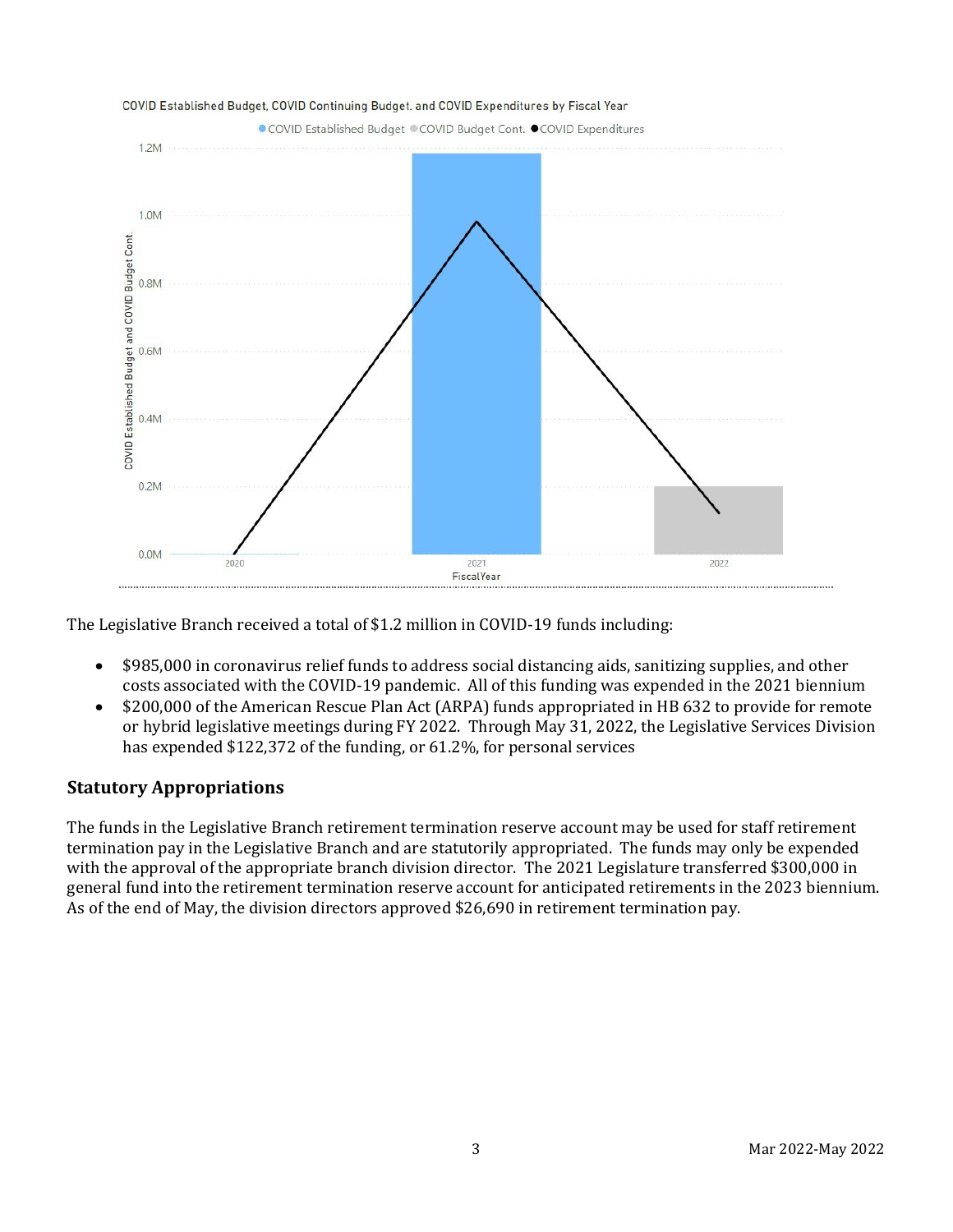

The Legislative Branch received a total of \$1.2 million in COVID-19 funds including:

- \$985,000 in coronavirus relief funds to address social distancing aids, sanitizing supplies, and other costs associated with the COVID-19 pandemic. All of this funding was expended in the 2021 biennium
- \$200,000 of the American Rescue Plan Act (ARPA) funds appropriated in HB 632 to provide for remote or hybrid legislative meetings during FY 2022. Through May 31, 2022, the Legislative Services Division has expended \$122,372 of the funding, or 61.2%, for personal services

# **Statutory Appropriations**

The funds in the Legislative Branch retirement termination reserve account may be used for staff retirement termination pay in the Legislative Branch and are statutorily appropriated. The funds may only be expended with the approval of the appropriate branch division director. The 2021 Legislature transferred \$300,000 in general fund into the retirement termination reserve account for anticipated retirements in the 2023 biennium. As of the end of May, the division directors approved \$26,690 in retirement termination pay.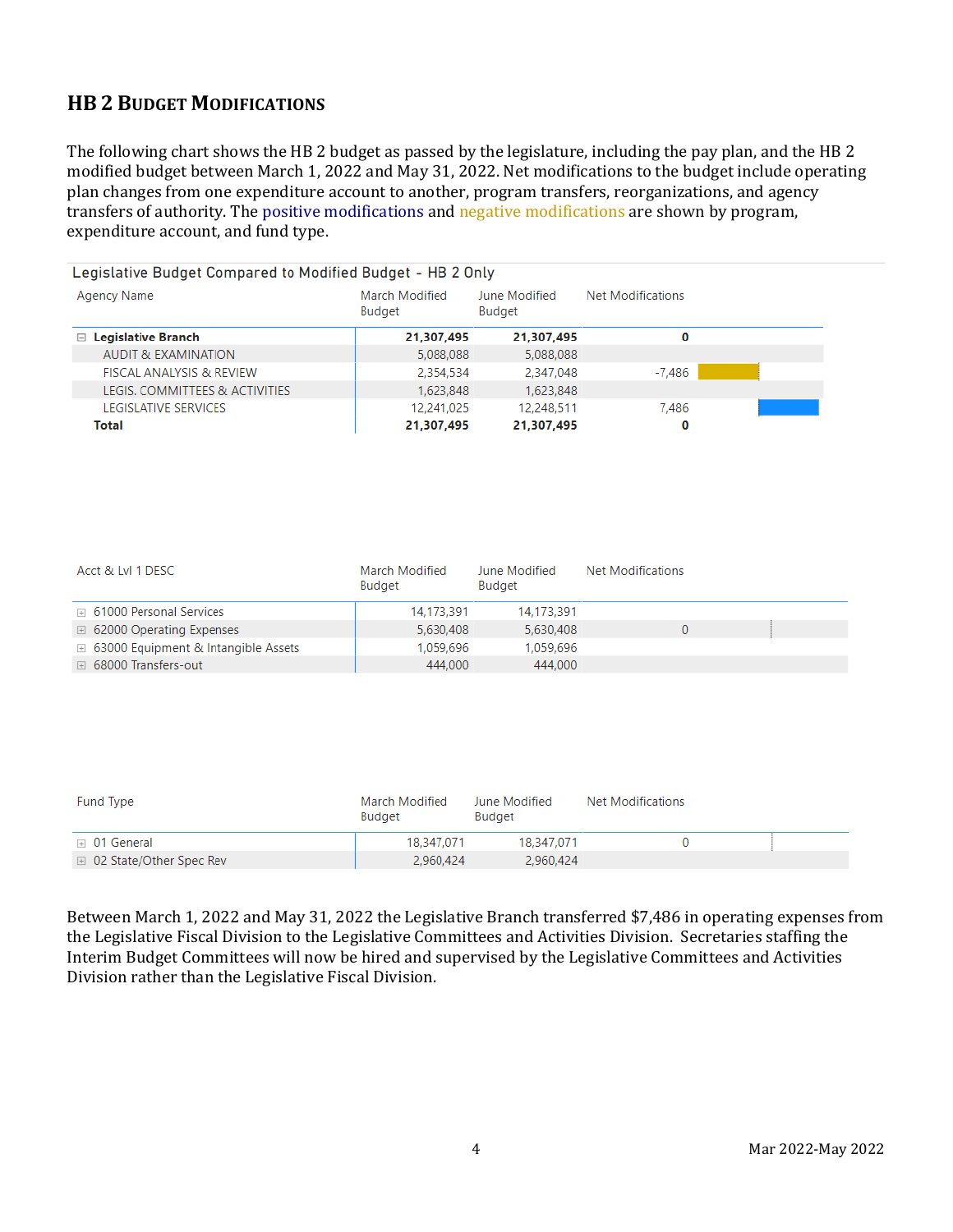# **HB 2 BUDGET MODIFICATIONS**

The following chart shows the HB 2 budget as passed by the legislature, including the pay plan, and the HB 2 modified budget between March 1, 2022 and May 31, 2022. Net modifications to the budget include operating plan changes from one expenditure account to another, program transfers, reorganizations, and agency transfers of authority. The positive modifications and negative modifications are shown by program, expenditure account, and fund type.

| Legislative Budget Compared to Modified Budget - HB 2 Only |            |                         |                   |  |  |
|------------------------------------------------------------|------------|-------------------------|-------------------|--|--|
| March Modified<br>Agency Name<br>Budget                    |            | June Modified<br>Budget | Net Modifications |  |  |
| $\Box$ Legislative Branch                                  | 21,307,495 | 21,307,495              | 0                 |  |  |
| <b>AUDIT &amp; EXAMINATION</b>                             | 5,088,088  | 5,088,088               |                   |  |  |
| <b>FISCAL ANALYSIS &amp; REVIEW</b>                        | 2,354,534  | 2,347,048               | -7,486            |  |  |
| LEGIS. COMMITTEES & ACTIVITIES                             | 1,623,848  | 1,623,848               |                   |  |  |
| LEGISLATIVE SERVICES                                       | 12,241,025 | 12,248,511              | 7.486             |  |  |
| Total                                                      | 21,307,495 | 21,307,495              | 0                 |  |  |

| Acct & LvI 1 DESC                              | March Modified<br>Budget | June Modified<br>Budget | <b>Net Modifications</b> |  |
|------------------------------------------------|--------------------------|-------------------------|--------------------------|--|
| <b>E</b> 61000 Personal Services               | 14,173,391               | 14,173,391              |                          |  |
| □ 62000 Operating Expenses                     | 5.630.408                | 5.630.408               |                          |  |
| $\boxplus$ 63000 Equipment & Intangible Assets | 1.059.696                | 1.059.696               |                          |  |
| <b>E</b> 68000 Transfers-out                   | 444,000                  | 444,000                 |                          |  |

| Fund Type                 | March Modified<br>Budget | June Modified<br>Budget | Net Modifications |  |
|---------------------------|--------------------------|-------------------------|-------------------|--|
| $\boxplus$ 01 General     | 18,347,071               | 18.347.071              |                   |  |
| □ 02 State/Other Spec Rev | 2,960,424                | 2,960,424               |                   |  |

Between March 1, 2022 and May 31, 2022 the Legislative Branch transferred \$7,486 in operating expenses from the Legislative Fiscal Division to the Legislative Committees and Activities Division. Secretaries staffing the Interim Budget Committees will now be hired and supervised by the Legislative Committees and Activities Division rather than the Legislative Fiscal Division.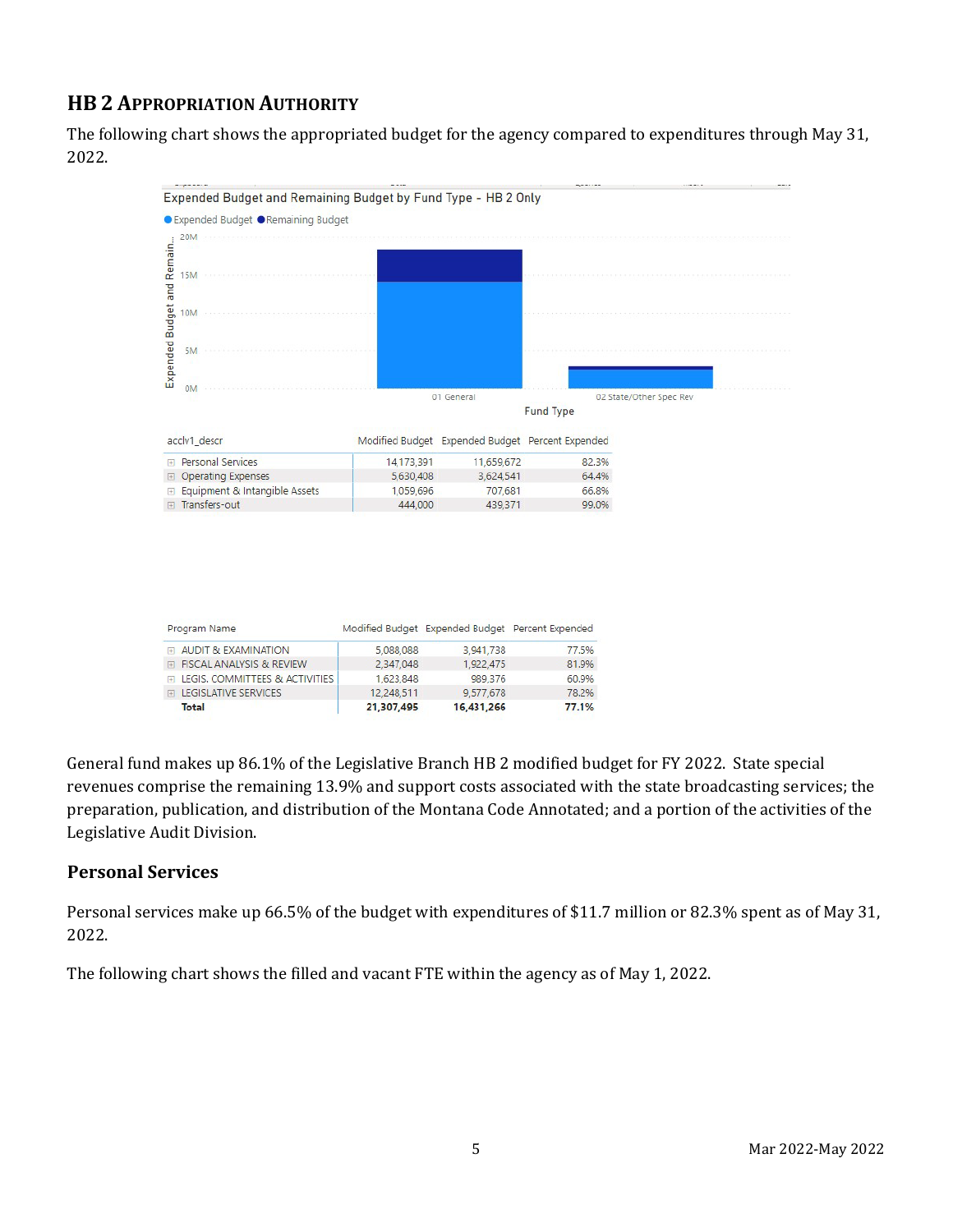# **HB 2 APPROPRIATION AUTHORITY**

The following chart shows the appropriated budget for the agency compared to expenditures through May 31, 2022.



| Program Name                     |            | Modified Budget Expended Budget Percent Expended |       |
|----------------------------------|------------|--------------------------------------------------|-------|
| FLAUDIT & EXAMINATION            | 5,088,088  | 3.941,738                                        | 77.5% |
| FI FISCAL ANALYSIS & REVIEW      | 2.347.048  | 1.922.475                                        | 81.9% |
| E LEGIS, COMMITTEES & ACTIVITIES | 1,623,848  | 989.376                                          | 60.9% |
| <b>ELEGISLATIVE SERVICES</b>     | 12.248.511 | 9.577.678                                        | 78.2% |
| Total                            | 21,307,495 | 16,431,266                                       | 77.1% |

General fund makes up 86.1% of the Legislative Branch HB 2 modified budget for FY 2022. State special revenues comprise the remaining 13.9% and support costs associated with the state broadcasting services; the preparation, publication, and distribution of the Montana Code Annotated; and a portion of the activities of the Legislative Audit Division.

# **Personal Services**

Personal services make up 66.5% of the budget with expenditures of \$11.7 million or 82.3% spent as of May 31, 2022.

The following chart shows the filled and vacant FTE within the agency as of May 1, 2022.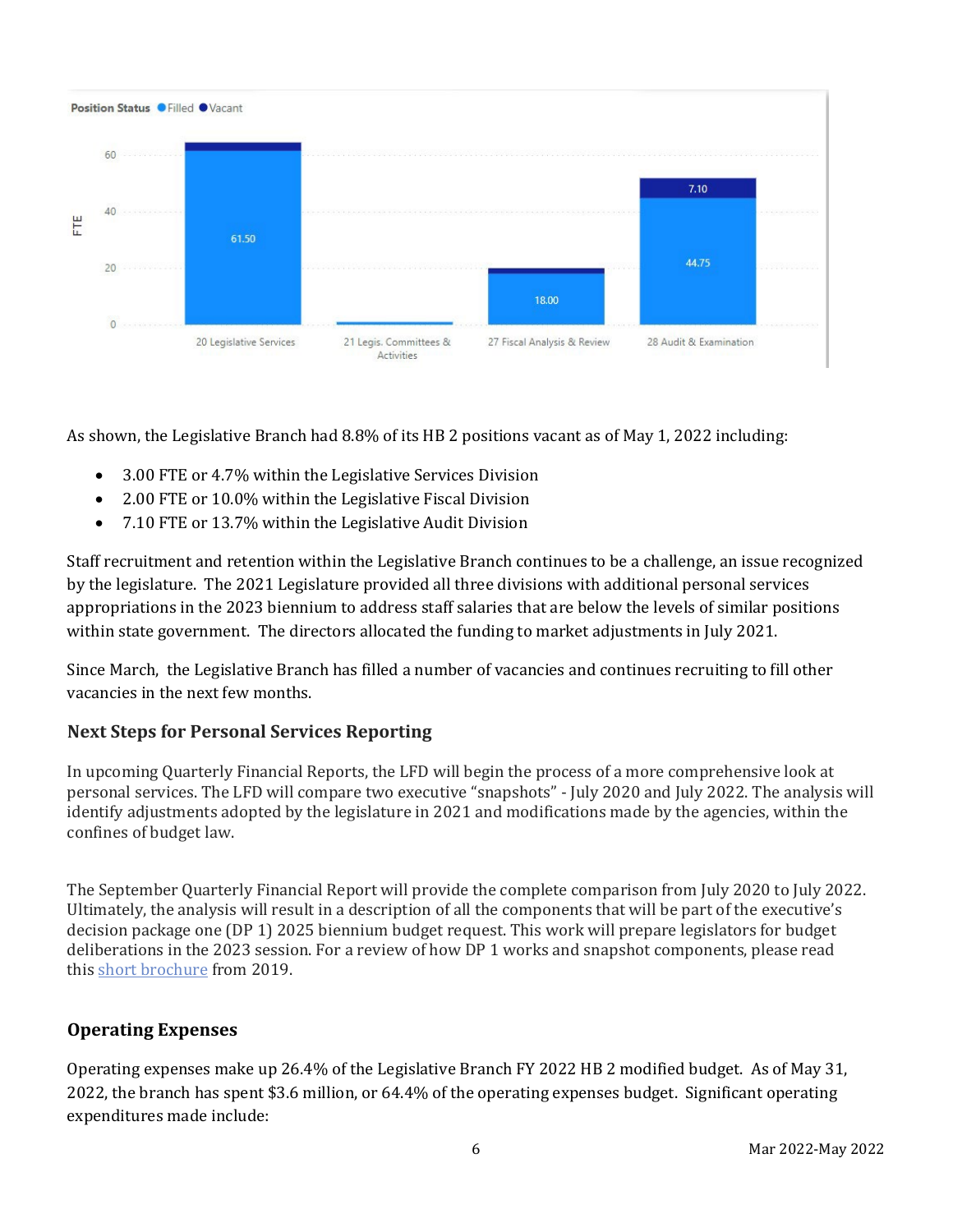

As shown, the Legislative Branch had 8.8% of its HB 2 positions vacant as of May 1, 2022 including:

- 3.00 FTE or 4.7% within the Legislative Services Division
- 2.00 FTE or 10.0% within the Legislative Fiscal Division
- 7.10 FTE or 13.7% within the Legislative Audit Division

Staff recruitment and retention within the Legislative Branch continues to be a challenge, an issue recognized by the legislature. The 2021 Legislature provided all three divisions with additional personal services appropriations in the 2023 biennium to address staff salaries that are below the levels of similar positions within state government. The directors allocated the funding to market adjustments in July 2021.

Since March, the Legislative Branch has filled a number of vacancies and continues recruiting to fill other vacancies in the next few months.

# **Next Steps for Personal Services Reporting**

In upcoming Quarterly Financial Reports, the LFD will begin the process of a more comprehensive look at personal services. The LFD will compare two executive "snapshots" - July 2020 and July 2022. The analysis will identify adjustments adopted by the legislature in 2021 and modifications made by the agencies, within the confines of budget law.

The September Quarterly Financial Report will provide the complete comparison from July 2020 to July 2022. Ultimately, the analysis will result in a description of all the components that will be part of the executive's decision package one (DP 1) 2025 biennium budget request. This work will prepare legislators for budget deliberations in the 2023 session. For a review of how DP 1 works and snapshot components, please read this [short brochure](https://montana.maps.arcgis.com/apps/Cascade/index.html?appid=23095fcf15754f4fb38b63c58a884b97) from 2019.

# **Operating Expenses**

Operating expenses make up 26.4% of the Legislative Branch FY 2022 HB 2 modified budget. As of May 31, 2022, the branch has spent \$3.6 million, or 64.4% of the operating expenses budget. Significant operating expenditures made include: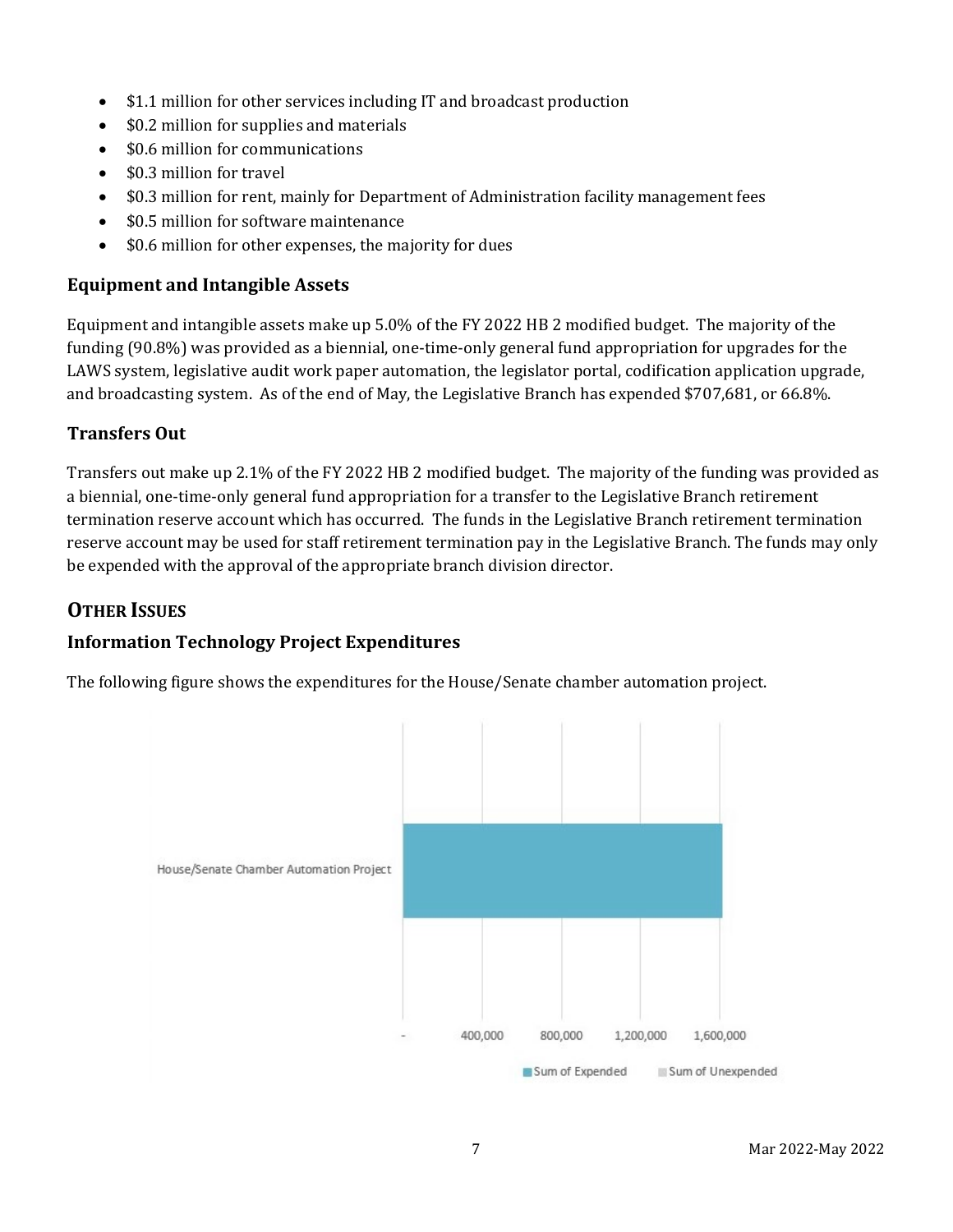- \$1.1 million for other services including IT and broadcast production
- \$0.2 million for supplies and materials
- \$0.6 million for communications
- \$0.3 million for travel
- \$0.3 million for rent, mainly for Department of Administration facility management fees
- \$0.5 million for software maintenance
- \$0.6 million for other expenses, the majority for dues

### **Equipment and Intangible Assets**

Equipment and intangible assets make up 5.0% of the FY 2022 HB 2 modified budget. The majority of the funding (90.8%) was provided as a biennial, one-time-only general fund appropriation for upgrades for the LAWS system, legislative audit work paper automation, the legislator portal, codification application upgrade, and broadcasting system. As of the end of May, the Legislative Branch has expended \$707,681, or 66.8%.

# **Transfers Out**

Transfers out make up 2.1% of the FY 2022 HB 2 modified budget. The majority of the funding was provided as a biennial, one-time-only general fund appropriation for a transfer to the Legislative Branch retirement termination reserve account which has occurred. The funds in the Legislative Branch retirement termination reserve account may be used for staff retirement termination pay in the Legislative Branch. The funds may only be expended with the approval of the appropriate branch division director.

# **OTHER ISSUES**

# **Information Technology Project Expenditures**

The following figure shows the expenditures for the House/Senate chamber automation project.